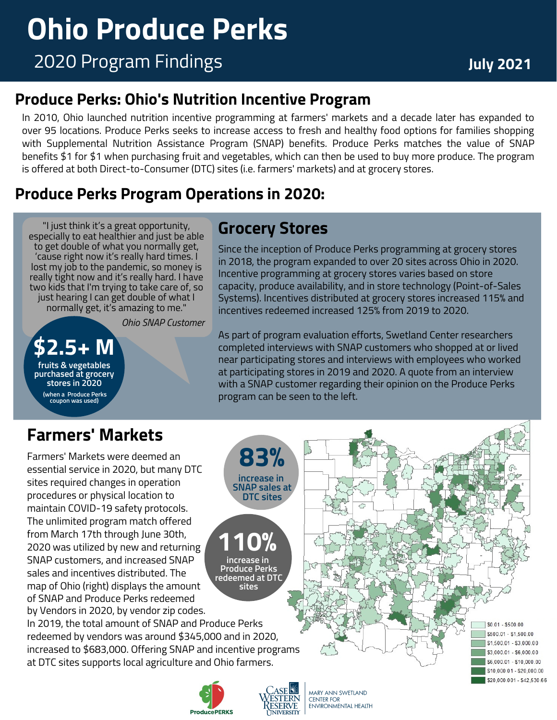## **Produce Perks: Ohio's Nutrition Incentive Program**

In 2010, Ohio launched nutrition incentive programming at farmers' markets and a decade later has expanded to over 95 locations. Produce Perks seeks to increase access to fresh and healthy food options for families shopping with Supplemental Nutrition Assistance Program (SNAP) benefits. Produce Perks matches the value of SNAP benefits \$1 for \$1 when purchasing fruit and vegetables, which can then be used to buy more produce. The program is offered at both Direct-to-Consumer (DTC) sites (i.e. farmers' markets) and at grocery stores.

## **Produce Perks Program Operations in 2020:**

"I just think it's a great opportunity, especially to eat healthier and just be able to get double of what you normally get, 'cause right now it's really hard times. I lost my job to the pandemic, so money is really tight now and it's really hard. I have two kids that I'm trying to take care of, so just hearing I can get double of what I normally get, it's amazing to me."

*Ohio SNAP Customer*

**\$2.5+ M fruits & vegetables purchased at grocery stores in 2020 (when a Produce Perks coupon was used)**

# **Grocery Stores**

Since the inception of Produce Perks programming at grocery stores in 2018, the program expanded to over 20 sites across Ohio in 2020. Incentive programming at grocery stores varies based on store capacity, produce availability, and in store technology (Point-of-Sales Systems). Incentives distributed at grocery stores increased 115% and incentives redeemed increased 125% from 2019 to 2020.

As part of program evaluation efforts, Swetland Center researchers completed interviews with SNAP customers who shopped at or lived near participating stores and interviews with employees who worked at participating stores in 2019 and 2020. A quote from an interview with a SNAP customer regarding their opinion on the Produce Perks program can be seen to the left.

# **Farmers' Markets**

Farmers' Markets were deemed an essential service in 2020, but many DTC sites required changes in operation procedures or physical location to maintain COVID-19 safety protocols. The unlimited program match offered from March 17th through June 30th, 2020 was utilized by new and returning SNAP customers, and increased SNAP sales and incentives distributed. The map of Ohio (right) displays the amount of SNAP and Produce Perks redeemed by Vendors in 2020, by vendor zip codes.

In 2019, the total amount of SNAP and Produce Perks redeemed by vendors was around \$345,000 and in 2020, increased to \$683,000. Offering SNAP and incentive programs at DTC sites supports local agriculture and Ohio farmers.

**ProducePERKS** 

**110%**

**83% increase in SNAP sales at DTC sites**

**increase in Produce Perks redeemed at DTC sites**



MARY ANN SWETLAND **CENTER FOR** ENVIRONMENTAL HEALTH

 $$0.01 - $500.00$ \$500.01 - \$1,500.00 \$1,500.01 - \$3,000.00 \$3,000.01 - \$6,000.00 \$6,000.01 - \$10,000.00 \$10,000.01 - \$20,000.00 \$20,000,001 - \$42,530.66